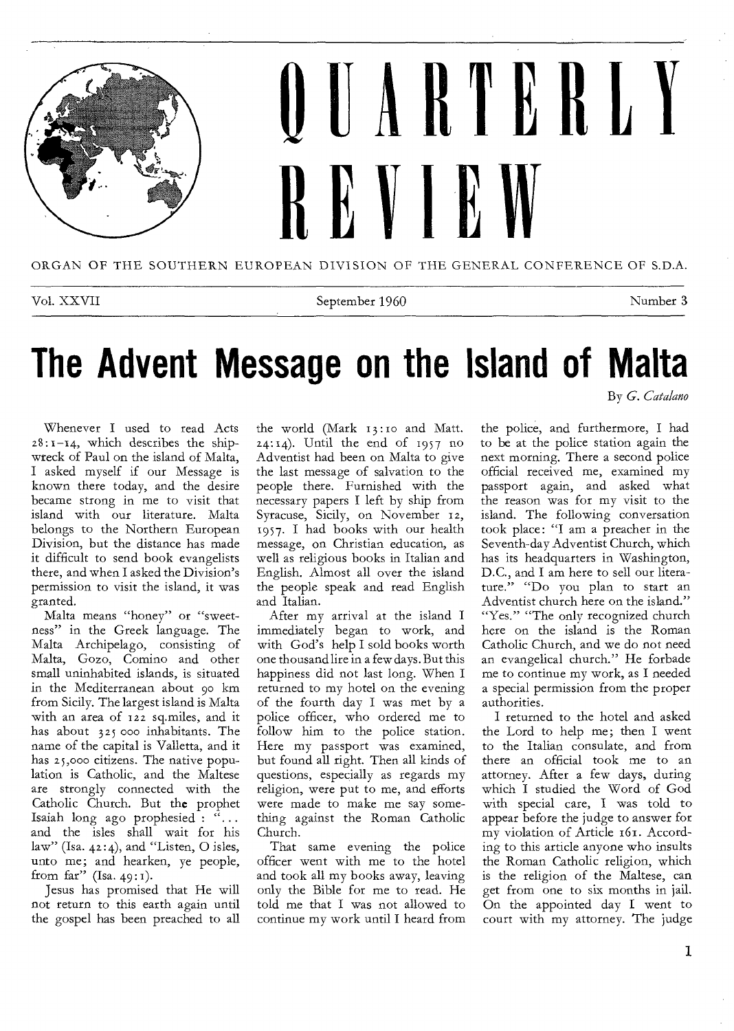

ORGAN OF THE SOUTHERN EUROPEAN DIVISION OF THE GENERAL CONFERENCE OF S.D.A.

Vol. XXVII Number 3

By *G. Catalano* 

## **The Advent Message on the Island of Malta**

Whenever I used to read Acts  $28:1-14$ , which describes the shipwreck of Paul on the island of Malta, I asked myself if our Message is known there today, and the desire became strong in me to visit that island with our literature. Malta belongs to the Northern European Division, but the distance has made it difficult to send book evangelists there, and when I asked the Division's permission to visit the island, it was granted.

Malta means "honey" or "sweetness" in the Greek language. The Malta Archipelago, consisting of Malta, Gozo, Comino and other small uninhabited islands, is situated in the Mediterranean about 90 km from Sicily. The largest island is Malta with an area of 122 sq.miles, and it has about 325 000 inhabitants. The name of the capital is Valletta, and it has 25,000 citizens. The native population is Catholic, and the Maltese are strongly connected with the Catholic Church. But the prophet Isaiah long ago prophesied : "... and the isles shall wait for his law" (Isa. 4z:4), and "Listen, 0 isles, unto me; and hearken, ye people, from far" (Isa. 49:1).

Jesus has promised that He will not return to this earth again until the gospel has been preached to all

the world (Mark 13:10 and Matt.  $24:14$ ). Until the end of  $1957$  no Adventist had been on Malta to give the last message of salvation to the people there. Furnished with the necessary papers I left by ship from Syracuse, Sicily, on November 12, 1957. I had books with our health message, on Christian education, as well as religious books in Italian and English. Almost all over the island the people speak and read English and Italian.

After my arrival at the island I immediately began to work, and with God's help I sold books worth one thousand lire in a few days. But this happiness did not last long. When I returned to my hotel on the evening of the fourth day I was met by a police officer, who ordered me to follow him to the police station. Here my passport was examined, but found all right. Then all kinds of questions, especially as regards my religion, were put to me, and efforts were made to make me say something against the Roman Catholic Church.

That same evening the police officer went with me to the hotel and took all my books away, leaving only the Bible for me to read. He told me that I was not allowed to continue my work until I heard from

the police, and furthermore, I had to be at the police station again the next morning. There a second police official received me, examined my passport again, and asked what the reason was for my visit to the island. The following conversation took place: "I am a preacher in the Seventh-day Adventist Church, which has its headquarters in Washington, D.C., and I am here to sell our literature." "Do you plan to start an Adventist church here on the island." "Yes." "The only recognized church here on the island is the Roman Catholic Church, and we do not need an evangelical church." He forbade me to continue my work, as I needed a special permission from the proper authorities.

I returned to the hotel and asked the Lord to help me; then I went to the Italian consulate, and from there an official took me to an attorney. After a few days, during which I studied the Word of God with special care, I was told to appear before the judge to answer for my violation of Article 161. According to this article anyone who insults the Roman Catholic religion, which is the religion of the Maltese, can get from one to six months in jail, On the appointed day I went to court with my attorney. The judge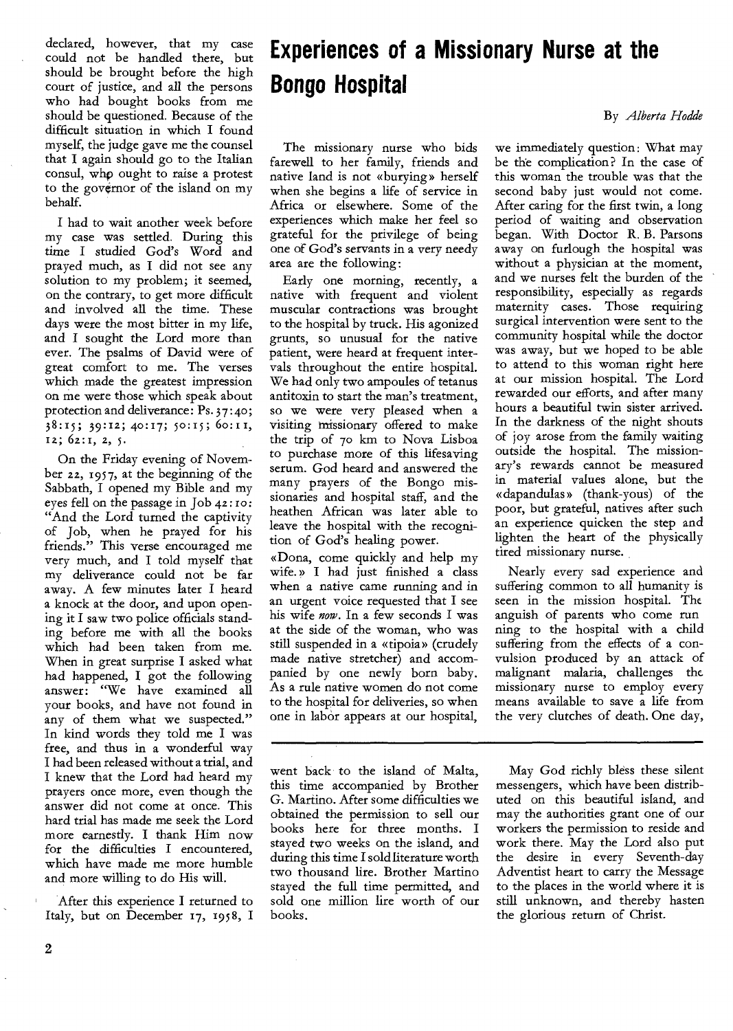declared, however, that my case could not be handled there, but should be brought before the high court of justice, and all the persons who had bought books from me should be questioned. Because of the difficult situation in which I found myself, the judge gave me the counsel that I again should go to the Italian consul, whp ought to raise a protest to the governor of the island on my behalf.

I had to wait another week before my case was settled. During this time I studied God's Word and prayed much, as I did not see any solution to my problem; it seemed, on the contrary, to get more difficult and involved all the time. These days were the most bitter in my life, and I sought the Lord more than ever. The psalms of David were of great comfort to me. The verses which made the greatest impression on me were those which speak about protection and deliverance: Ps. 37 : 4o ; 38:15; 39:12; 40:17; 5o:15; 6o:11, 12; 62:1, 2, 5.

On the Friday evening of November 22, 1957, at the beginning of the Sabbath, I opened my Bible and my eyes fell on the passage in Job *42:* ro: "And the Lord turned the captivity of Job, when he prayed for his friends." This verse encouraged me very much, and I told myself that my deliverance could not be far away. A few minutes later I heard a knock at the door, and upon opening it I saw two police officials standing before me with all the books which had been taken from me. When in great surprise I asked what had happened, I got the following answer: "We have examined all your books, and have not found in any of them what we suspected." In kind words they told me I was free, and thus in a wonderful way I had been released without a trial, and I knew that the Lord had heard my prayers once more, even though the answer did not come at once. This hard trial has made me seek the Lord more earnestly. I thank Him now for the difficulties I encountered, which have made me more humble and more willing to do His will.

After this experience I returned to Italy, but on December 17, 1958, I

### **Experiences of a Missionary Nurse at the Bongo Hospital**

By *Alberta Hodde* 

The missionary nurse who bids farewell to her family, friends and native land is not «burying » herself when she begins a life of service in Africa or elsewhere. Some of the experiences which make her feel so grateful for the privilege of being one of God's servants in a very needy area are the following:

Early one morning, recently, a native with frequent and violent muscular contractions was brought to the hospital by truck. His agonized grunts, so unusual for the native patient, were heard at frequent intervals throughout the entire hospital. We had only two ampoules of tetanus antitoxin to start the man's treatment, so we were very pleased when a visiting missionary offered to make the trip of 7o km to Nova Lisboa to purchase more of this lifesaving serum. God heard and answered the many prayers of the Bongo missionaries and hospital staff, and the heathen African was later able to leave the hospital with the recognition of God's healing power.

«Dona, come quickly and help my wife.» I had just finished a class when a native came running and in an urgent voice requested that I see his wife *now.* In a few seconds I was at the side of the woman, who was still suspended in a «tipoia» (crudely made native stretcher) and accompanied by one newly born baby. As a rule native women do not come to the hospital for deliveries, so when one in labor appears at our hospital,

went back to the island of Malta, this time accompanied by Brother G. Martino. After some difficulties we obtained the permission to sell our books here for three months. I stayed two weeks on the island, and during this time I sold literature worth two thousand lire. Brother Martino stayed the full time permitted, and sold one million lire worth of our books.

we immediately question: What may be the complication? In the case of this woman the trouble was that the second baby just would not come. After caring for the first twin, a long period of waiting and observation began. With Doctor R. B. Parsons away on furlough the hospital was without a physician at the moment, and we nurses felt the burden of the responsibility, especially as regards maternity cases. Those requiring surgical intervention were sent to the community hospital while the doctor was away, but we hoped to be able to attend to this woman right here at our mission hospital. The Lord rewarded our efforts, and after many hours a beautiful twin sister arrived. In the darkness of the night shouts of joy arose from the family waiting outside the hospital. The missionary's rewards cannot be measured in material values alone, but the «dapandulas » (thank-yous) of the poor, but grateful, natives after such an experience quicken the step and lighten the heart of the physically tired missionary nurse.

Nearly every sad experience and suffering common to all humanity is seen in the mission hospital. The anguish of parents who come run ning to the hospital with a child suffering from the effects of a convulsion produced by an attack of malignant malaria, challenges the missionary nurse to employ every means available to save a life from the very clutches of death. One day,

May God richly bless these silent messengers, which have been distributed on this beautiful island, and may the authorities grant one of our workers the permission to reside and work there. May the Lord also put the desire in every Seventh-day Adventist heart to carry the Message to the places in the world where it is still unknown, and thereby hasten the glorious return of Christ.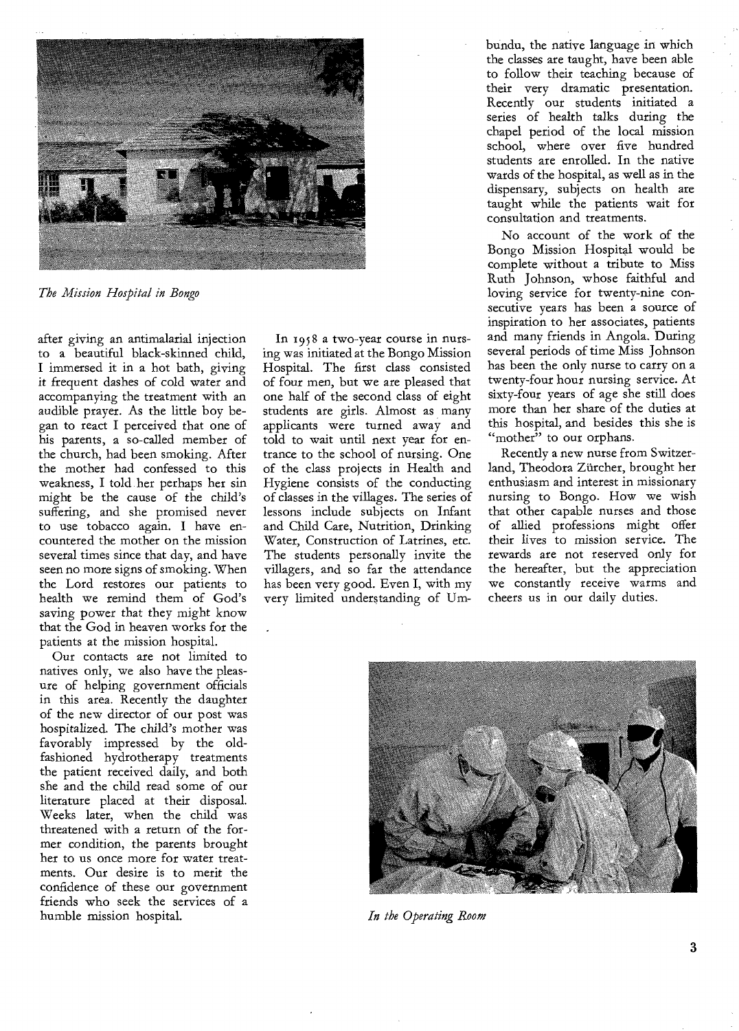

*The Mission Hospital in Bongo* 

after giving an antimalarial injection to a beautiful black-skinned child, I immersed it in a hot bath, giving it frequent dashes of cold water and accompanying the treatment with an audible prayer. As the little boy began to react I perceived that one of his parents, a so-called member of the church, had been smoking. After the mother had confessed to this weakness, I told her perhaps her sin might be the cause of the child's suffering, and she promised never to use tobacco again. I have encountered the mother on the mission several times since that day, and have seen no more signs of smoking. When the Lord restores our patients to health we remind them of God's saving power that they might know that the God in heaven works for the patients at the mission hospital.

Our contacts are not limited to natives only, we also have the pleasure of helping government officials in this area. Recently the daughter of the new director of our post was hospitalized. The child's mother was favorably impressed by the oldfashioned hydrotherapy treatments the patient received daily, and both she and the child read some of our literature placed at their disposal. Weeks later, when the child was threatened with a return of the former condition, the parents brought her to us once more for water treatments. Our desire is to merit the confidence of these our government friends who seek the services of a humble mission hospital.

In 1958 a two-year course in nursing was initiated at the Bongo Mission Hospital. The first class consisted of four men, but we are pleased that one half of the second class of eight students are girls. Almost as many applicants were turned away and told to wait until next year for entrance to the school of nursing. One of the class projects in Health and Hygiene consists of the conducting of classes in the villages. The series of lessons include subjects on Infant and Child Care, Nutrition, Drinking Water, Construction of Latrines, etc. The students personally invite the villagers, and so far the attendance has been very good. Even I, with my very limited understanding of Umbundu, the native language in which the classes are taught, have been able to follow their teaching because of their very dramatic presentation. Recently our students initiated a series of health talks during the chapel period of the local mission school, where over five hundred students are enrolled. In the native wards of the hospital, as well as in the dispensary, subjects on health are taught while the patients wait for consultation and treatments.

No account of the work of the Bongo Mission Hospital would be complete without a tribute to Miss Ruth Johnson, whose faithful and loving service for twenty-nine consecutive years has been a source of inspiration to her associates, patients and many friends in Angola. During several periods of time Miss Johnson has been the only nurse to carry on a twenty-four hour nursing service. At sixty-four years of age she still does more than her share of the duties at this hospital, and besides this she is "mother" to our orphans.

Recently a new nurse from Switzerland, Theodora Ziircher, brought her enthusiasm and interest in missionary nursing to Bongo. How we wish that other capable nurses and those of allied professions might offer their lives to mission service. The rewards are not reserved only for the hereafter, but the appreciation we constantly receive warms and cheers us in our daily duties.



*In the Operating Room*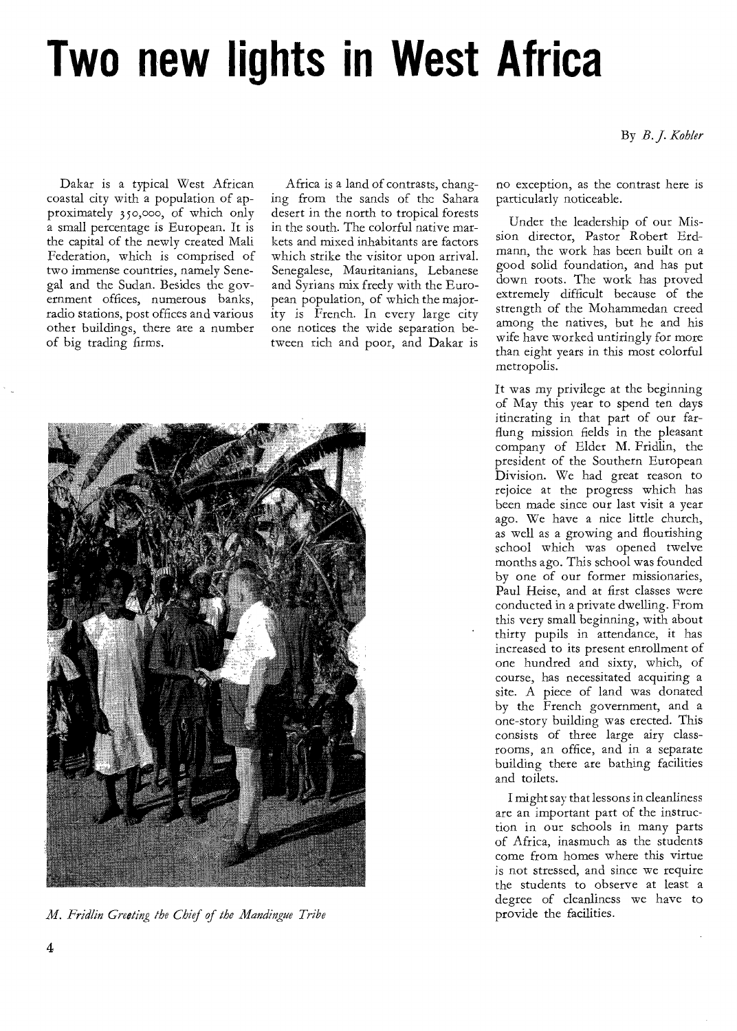# **Two new lights in West Africa**

#### By *B. J. Kohler*

Dakar is a typical West African coastal city with a population of approximately 350,000, of which only a small percentage is European. It is the capital of the newly created Mali Federation, which is comprised of two immense countries, namely Senegal and the Sudan. Besides the government offices, numerous banks, radio stations, post offices and various other buildings, there are a number of big trading firms.

Africa is a land of contrasts, changing from the sands of the Sahara desert in the north to tropical forests in the south. The colorful native markets and mixed inhabitants are factors which strike the visitor upon arrival. Senegalese, Mauritanians, Lebanese and Syrians mix freely with the European population, of which the majority is French. In every large city one notices the wide separation between rich and poor, and Dakar is



*M. Fridlin Greeting the Chief of the Manclingue Tribe* 

no exception, as the contrast here is particularly noticeable.

Under the leadership of our Mission director, Pastor Robert Erdmann, the work has been built on a good solid foundation, and has put down roots. The work has proved extremely difficult because of the strength of the Mohammedan creed among the natives, but he and his wife have worked untiringly for more than eight years in this most colorful metropolis.

It was my privilege at the beginning of May this year to spend ten days itinerating in that part of our farflung mission fields in the pleasant company of Elder M. Fridlin, the president of the Southern European Division. We had great reason to rejoice at the progress which has been made since our last visit a year ago. We have a nice little church, as well as a growing and flourishing school which was opened twelve months ago. This school was founded by one of our former missionaries, Paul Heise, and at first classes were conducted in a private dwelling. From this very small beginning, with about thirty pupils in attendance, it has increased to its present enrollment of one hundred and sixty, which, of course, has necessitated acquiring a site. A piece of land was donated by the French government, and a one-story building was erected. This consists of three large airy classrooms, an office, and in a separate building there are bathing facilities and toilets.

I might say that lessons in cleanliness are an important part of the instruction in our schools in many parts of Africa, inasmuch as the students come from homes where this virtue is not stressed, and since we require the students to observe at least a degree of cleanliness we have to provide the facilities.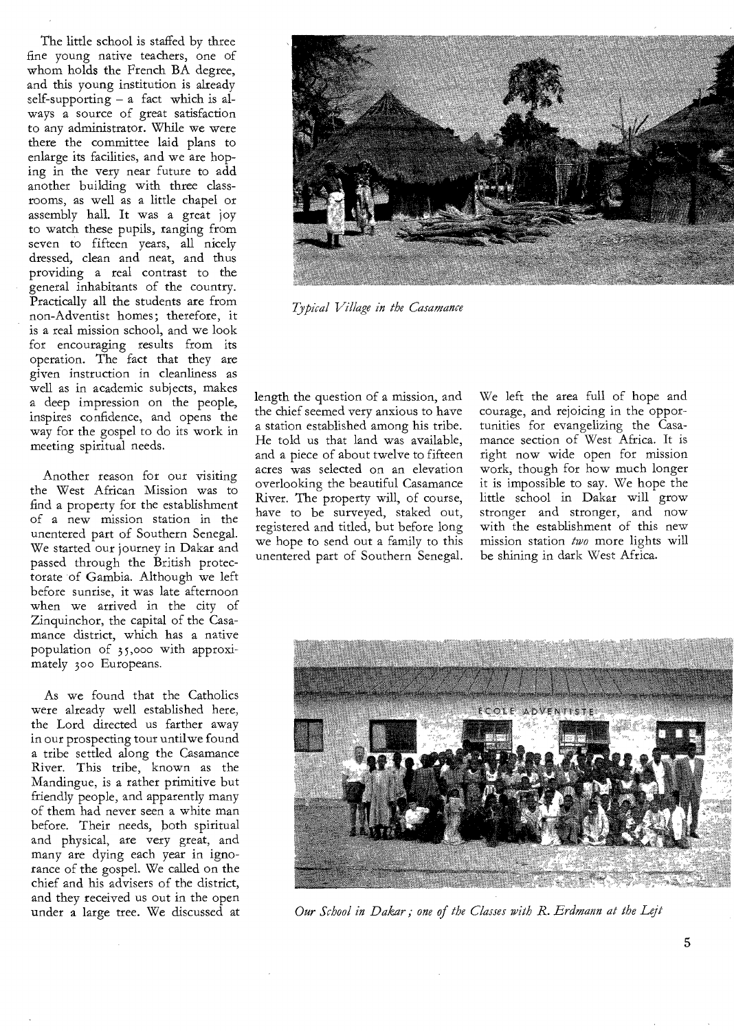The little school is staffed by three fine young native teachers, one of whom holds the French BA degree, and this young institution is already self-supporting  $- a$  fact which is always a source of great satisfaction to any administrator. While we were there the committee laid plans to enlarge its facilities, and we are hoping in the very near future to add another building with three classrooms, as well as a little chapel or assembly hall. It was a great joy to watch these pupils, ranging from seven to fifteen years, all nicely dressed, clean and neat, and thus providing a real contrast to the general inhabitants of the country. Practically all the students are from non-Adventist homes; therefore, it is a real mission school, and we look for encouraging results from its operation. The fact that they are given instruction in cleanliness as well as in academic subjects, makes a deep impression on the people, inspires confidence, and opens the way for the gospel to do its work in meeting spiritual needs.

Another reason for our visiting the West African Mission was to find a property for the establishment of a new mission station in the unentered part of Southern Senegal. We started our journey in Dakar and passed through the British protectorate of Gambia. Although we left before sunrise, it was late afternoon when we arrived in the city of Zinquinchor, the capital of the Casamance district, which has a native population of 35,000 with approximately 300 Europeans.

As we found that the Catholics were already well established here, the Lord directed us farther away in our prospecting tour untilwe found a tribe settled along the Casamance River. This tribe, known as the Mandingue, is a rather primitive but friendly people, and apparently many of them had never seen a white man before. Their needs, both spiritual and physical, are very great, and many are dying each year in ignorance of the gospel. We called on the chief and his advisers of the district, and they received us out in the open under a large tree. We discussed at



*Typical Village in the Casamance* 

length the question of a mission, and the chief seemed very anxious to have a station established among his tribe. He told us that land was available, and a piece of about twelve to fifteen acres was selected on an elevation overlooking the beautiful Casamance River. The property will, of course, have to be surveyed, staked out, registered and titled, but before long we hope to send out a family to this unentered part of Southern Senegal.

We left the area full of hope and courage, and rejoicing in the opportunities for evangelizing the Casamance section of West Africa. It is right now wide open for mission work, though for how much longer it is impossible to say. We hope the little school in Dakar will grow stronger and stronger, and now with the establishment of this new mission station *two* more lights will be shining in dark West Africa.



*Our School in Dakar; one of the Classes with R. Erdmann at the Lejt*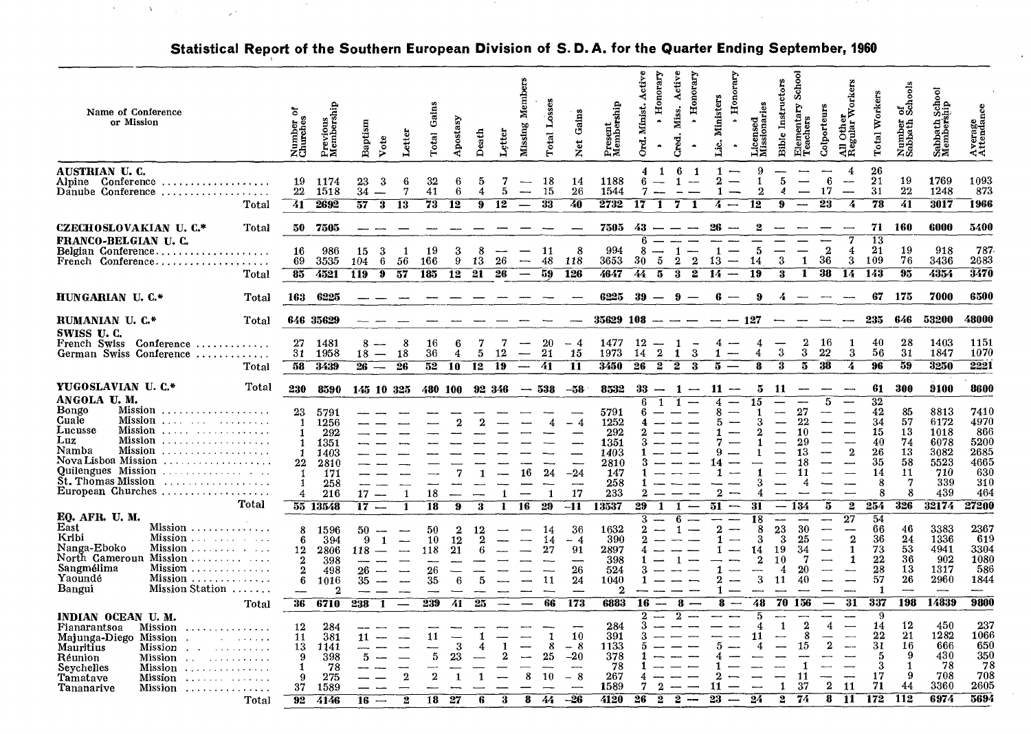| Name of Conference<br>or Mission                                                                                                                                                                                                                                           | ৯<br>Number<br>Churches                                                                    | Previous<br>Membership                                           | Baptism                             | Letter<br>Vote                                                                                   | Total                         | Aposta                        | Death              | Letter        | Member<br>Missing                           | Total Losses              | Gains<br>Net                         | Present<br>Membership                                            | Active<br>Minist.<br>ti<br>Ö | Honorary                         | Active<br>Honorary<br>Miss.                                            | <b>Ministers</b>                   |                                             | Licensed<br>Missionaries               | School<br><b>Bible Instructors</b>                      | Þ<br>Elementar<br>Teachers                | Colporteurs                | er<br>r Workers<br>All Other<br>Regular                                                                        | Workers<br><b>Total</b>                                             | కశ్<br>Number<br>Sablath                         | Sabbath School<br>Membership                                      | Average<br>Attendance                                            |
|----------------------------------------------------------------------------------------------------------------------------------------------------------------------------------------------------------------------------------------------------------------------------|--------------------------------------------------------------------------------------------|------------------------------------------------------------------|-------------------------------------|--------------------------------------------------------------------------------------------------|-------------------------------|-------------------------------|--------------------|---------------|---------------------------------------------|---------------------------|--------------------------------------|------------------------------------------------------------------|------------------------------|----------------------------------|------------------------------------------------------------------------|------------------------------------|---------------------------------------------|----------------------------------------|---------------------------------------------------------|-------------------------------------------|----------------------------|----------------------------------------------------------------------------------------------------------------|---------------------------------------------------------------------|--------------------------------------------------|-------------------------------------------------------------------|------------------------------------------------------------------|
| AUSTRIAN U.C.<br>Conference<br>Alpine<br>Danube Conference<br>Total                                                                                                                                                                                                        | 19<br>22<br>41                                                                             | 1174<br>1518<br>2692                                             | 23<br>34<br>57                      | 3<br>6<br>7<br>3<br>13                                                                           | 32<br>41<br>73                | 6<br>6<br>12                  | 5<br>4<br>9        | 7<br>5<br>12  | $\overline{\phantom{a}}$                    | 18<br>15<br>33            | 14<br>26<br>40                       | 1188<br>1544<br>2732                                             | 4<br>6<br>7<br>17            | -1<br>-1                         | 6<br>$\mathbf{1}$<br>7<br>-1                                           | $\mathbf{1}$<br>$\bf{2}$<br>1<br>4 | 12<br>$\overline{\phantom{a}}$              | 9<br>$\overline{2}$                    | $\overline{5}$<br>9                                     |                                           | 6<br>17<br>23              | 4<br>$\overline{\phantom{a}}$<br>4                                                                             | 26<br>21<br>31<br>78                                                | 19<br>22<br>41                                   | 1769<br>1248<br>3017                                              | 1093<br>873<br>1966                                              |
| CZECHOSLOVAKIAN U. C.*<br>Total<br>FRANCO-BELGIAN U.C.<br>Belgian Conference<br>.<br>French Conference<br>Total                                                                                                                                                            | 50<br>16<br>69<br>85                                                                       | 7505<br>986<br>3535<br>4521                                      | 15<br>104<br>119                    | З<br>-1<br>6<br>56<br>$\overline{57}$<br>้9                                                      | 19<br>166<br>185              | З<br>9<br>12                  | 8<br>13<br>21      | 26<br>-26     | $\qquad \qquad$<br>$\overline{\phantom{a}}$ | -11<br>48<br>59           | 8<br>-118<br><b>126</b>              | 7505<br>994<br>3653<br>4647                                      | 43<br>6<br>я<br>30.<br>44    | 5<br>5                           | -1<br>$\overline{2}$<br>$\overline{2}$<br>$\overline{\mathbf{2}}$<br>3 | -1<br>13<br>14                     | $-\!-\!$<br>-19<br>$\overline{\phantom{a}}$ | 5<br>14                                | 3<br>3                                                  | 1<br>1                                    | $\overline{2}$<br>36<br>38 | 4<br>3<br><b>14</b>                                                                                            | 71<br>$\overline{13}$<br>21<br>109<br>- 143                         | 160<br>19<br>76<br>95                            | 6000<br>918<br>3436<br>4354                                       | 5400<br>787<br>2683<br>3470                                      |
| HUNGARIAN U.C.*<br>Total                                                                                                                                                                                                                                                   | 163                                                                                        | 6225                                                             |                                     |                                                                                                  |                               |                               |                    |               |                                             |                           |                                      | 6225                                                             | 39                           |                                  | 9                                                                      |                                    |                                             | 9                                      |                                                         |                                           |                            |                                                                                                                | 67                                                                  | 175                                              | 7000                                                              | 6500                                                             |
| RUMANIAN U.C.*<br>Total<br>SWISS U.C.                                                                                                                                                                                                                                      |                                                                                            | 646 35629                                                        |                                     |                                                                                                  |                               |                               |                    |               |                                             |                           |                                      | $35629$ 108 $-$                                                  |                              |                                  | $\overline{\phantom{a}}$                                               |                                    | 127<br>$\overline{\phantom{0}}$             |                                        |                                                         |                                           |                            |                                                                                                                | 235                                                                 | 646                                              | 53200                                                             | 48000                                                            |
| French Swiss<br>Conference<br>German Swiss Conference<br>Total                                                                                                                                                                                                             | 27<br>31<br>58                                                                             | 1481<br>1958<br>3439                                             | 8<br>18<br>$\overline{26}$          | 8<br>$\sim$<br>18<br>$\overline{\phantom{0}}$<br>26                                              | 16<br>36<br>52                | 6<br>- 10                     | 7<br>5<br>12       | 7<br>12<br>19 | $\overline{\phantom{a}}$                    | 20<br>21<br>41            | $-4$<br>-15<br>11                    | 1477<br>1973<br>3450                                             | 12<br>14<br>$\overline{26}$  | $\boldsymbol{2}$<br>$\mathbf{2}$ | $\mathbf{1}$<br>$\rightarrow$<br>3<br>1<br>3<br>2                      | 4<br>1<br>5.                       | $\overline{\phantom{a}}$                    | 4<br>4<br>8                            | 3<br>3                                                  | $\mathbf 2$<br>3<br>5                     | -16<br>22<br>38            | 1<br>3<br>7                                                                                                    | 40<br>56<br>96                                                      | 28<br>31<br>59                                   | 1403<br>1847<br>3250                                              | 1151<br>1070<br>2221                                             |
| YUGOSLAVIAN U.C.*<br>Total                                                                                                                                                                                                                                                 | 230                                                                                        | 8590                                                             |                                     | 145 10 325                                                                                       |                               | 480 100                       | 92 346             |               |                                             | $-538$                    | -58                                  | 8532                                                             | $33 -$                       |                                  | -1<br>$\overline{\phantom{a}}$                                         | 11                                 |                                             | 5                                      | -11                                                     |                                           |                            |                                                                                                                | 61                                                                  | 300                                              | 9100                                                              | 8600                                                             |
| ANGOLA U.M.<br>Bongo<br>Mission<br>Cuale<br>Mission<br>Lucusse<br>Mission<br>Luz<br>Mission<br>Namba<br>Mission<br>Nova Lisboa Mission<br>Quilengues Mission<br>St. Thomas Mission<br>. <b>.</b><br>European Churches                                                      | 23<br>1<br>$\mathbf{1}$<br>-1<br>$\mathbf{1}$<br>22<br>$\mathbf{1}$<br>1<br>$\overline{4}$ | 5791<br>1256<br>292<br>1351<br>1403<br>2810<br>171<br>258<br>216 | 17                                  | 1                                                                                                | 18                            | 9                             |                    | $\mathbf{1}$  | 16                                          | 4<br>24<br>-1             | $-4$<br>$-24$<br>17                  | 5791<br>1252<br>292<br>1351<br>1403<br>2810<br>147<br>258<br>233 | 2                            | ้1                               | $\mathbf{1}$<br>$\overline{\phantom{a}}$                               | 4<br>14<br>$\boldsymbol{2}$        | $\qquad \qquad$                             | 15                                     | ——                                                      | 27<br>22<br>10<br>13<br>18<br>4           | 5                          | $\mathbf{2}$                                                                                                   | $\overline{32}$<br>42<br>34<br>15<br>40<br>26<br>35<br>14<br>8<br>8 | 85<br>57<br>13<br>74<br>13<br>58<br>11<br>7<br>8 | 8813<br>6172<br>1018<br>6078<br>3082<br>5523<br>710<br>339<br>439 | 7410<br>4970<br>866<br>5200<br>2685<br>4665<br>630<br>310<br>464 |
| Total<br>E0. AFR. U. M.                                                                                                                                                                                                                                                    |                                                                                            | 55 13548                                                         | 17                                  |                                                                                                  | 18                            | 9                             | 3                  | 1             | 16                                          | 29                        | $-11$                                | 13537                                                            | 29<br>3                      | -1                               | $\mathbf{1}$<br>6                                                      | 51                                 | $\overline{\phantom{a}}$                    | 31<br>18                               | $-134$                                                  |                                           | 5                          | $\mathbf{2}$<br>27                                                                                             | 254<br>54                                                           | 326                                              | 32174                                                             | 27200                                                            |
| East<br>Mission<br>Kribi<br>Nanga-Eboko<br>$\sim 100$<br>North Cameroun Mission<br>Sangmélima<br>Mission<br>Yaoundé<br>Mission<br>Bangui<br>Mission Station                                                                                                                | 8<br>6<br>12<br>$\mathbf 2$<br>$\bf 2$<br>6                                                | 1596<br>394<br>2806<br>398<br>498<br>1016                        | $50 -$<br>-9<br>$118 -$<br>26<br>35 | $\overline{\phantom{a}}$<br>$\mathbf{1}$<br>$\overline{\phantom{0}}$<br>$\overline{\phantom{a}}$ | 50<br>10<br>118<br>26<br>35   | $\bf{2}$<br>12<br>21<br>6     | $\mathbf 2$<br>5   | ——            |                                             | 14<br>14<br>27<br>11      | 36<br>$-4$<br>91<br>26<br>24         | 1632<br>390<br>2897<br>398<br>524<br>1040<br>$\mathbf 2$         | 2<br>2                       |                                  | -1                                                                     | $\mathbf 2$<br>1<br>2<br>1         | -                                           | 8<br>я<br>14<br>$\mathbf 2$<br>--<br>3 | 23<br>3<br>19<br>10<br>4<br>11                          | 30<br>25<br>34<br>7<br>20<br>40           | $\overline{\phantom{a}}$   | $\mathbf{2}$<br>$\mathbf{1}$<br>1<br>——                                                                        | 66<br>36<br>73<br>22<br>28<br>57<br>-1                              | 46<br>24<br>53<br>36<br>13<br>26                 | 3383<br>1336<br>4941<br>902<br>1317<br>2960                       | 2367<br>619<br>3304<br>1080<br>586<br>1844                       |
| Total                                                                                                                                                                                                                                                                      | 36                                                                                         | 6710                                                             | 238                                 | -1                                                                                               | 239                           | 41                            | 25                 |               |                                             | 66                        | 173                                  | 6883                                                             | 16                           |                                  | 8<br>9                                                                 | 8                                  |                                             | 48                                     | 70                                                      | 156                                       |                            | 31                                                                                                             | 337                                                                 | 198                                              | 14839                                                             | 9800                                                             |
| INDIAN OCEAN U.M.<br>Fianarantsoa<br>Mission<br>Maiunga-Diego Mission.<br>in the state of the state of<br><b>Mauritius</b><br>$Mission \t\t\t\t\t \t\t\t\t$<br>Réunion<br>Mission<br><b>Sevchelles</b><br>Mission<br>Tamatave<br>Mission<br>Tananarive<br>Mission<br>Total | 12<br>11<br>13<br>9<br>1<br>$\mathbf{Q}$<br>37<br>92                                       | 284<br>381<br>1141<br>398<br>78<br>275<br>1589<br>4146           | 11<br>5<br>16                       | $\mathbf{Q}$<br>9.                                                                               | 11<br>5<br>$\mathbf{2}$<br>18 | 3<br>23<br>$\mathbf{1}$<br>27 | -1<br>$\mathbf{1}$ | з             | 8<br>8                                      | -1<br>8<br>25<br>10<br>44 | 10<br>$-8$<br>$-20$<br>$-8$<br>$-26$ | 284<br>391<br>1133<br>378<br>78<br>267<br>1589<br>4120           | 26                           | 2<br>$\mathbf{2}$                | $\mathbf{2}$                                                           | 5<br>23                            |                                             | 11<br>4<br>24                          | $\mathbf{1}$<br>$\mathbf{1}$<br>$\overline{\mathbf{2}}$ | $\mathbf{2}$<br>8<br>15<br>11<br>37<br>74 | 4<br>2<br>$\bf{2}$<br>8    | $\overline{\phantom{0}}$<br>$\overline{\phantom{a}}$<br>$\overline{\phantom{a}}$<br>-<br>11<br>$\overline{11}$ | 9<br>14<br>22<br>31<br>5<br>з<br>17<br>71<br>172                    | 12<br>21<br>16<br>-9<br>-1<br>-9<br>44<br>112    | 450<br>1282<br>666<br>430<br>78<br>708<br>3360<br>6974            | 237<br>1066<br>650<br>350<br>78<br>708<br>2605<br>5694           |

#### **Statistical Report of the Southern European Division of S. D. A. for the Quarter Ending September, 1960**

and the

 $\sim 10^7$ 

 $\lambda$ 

 $\label{eq:2} \mathcal{O}(\mathcal{E}^{\mathcal{A}}) = \mathcal{O}(\mathcal{E}^{\mathcal{A}}) \quad \text{and} \quad \mathcal{O}(\mathcal{E}^{\mathcal{A}}) = \mathcal{O}(\mathcal{E}^{\mathcal{A}})$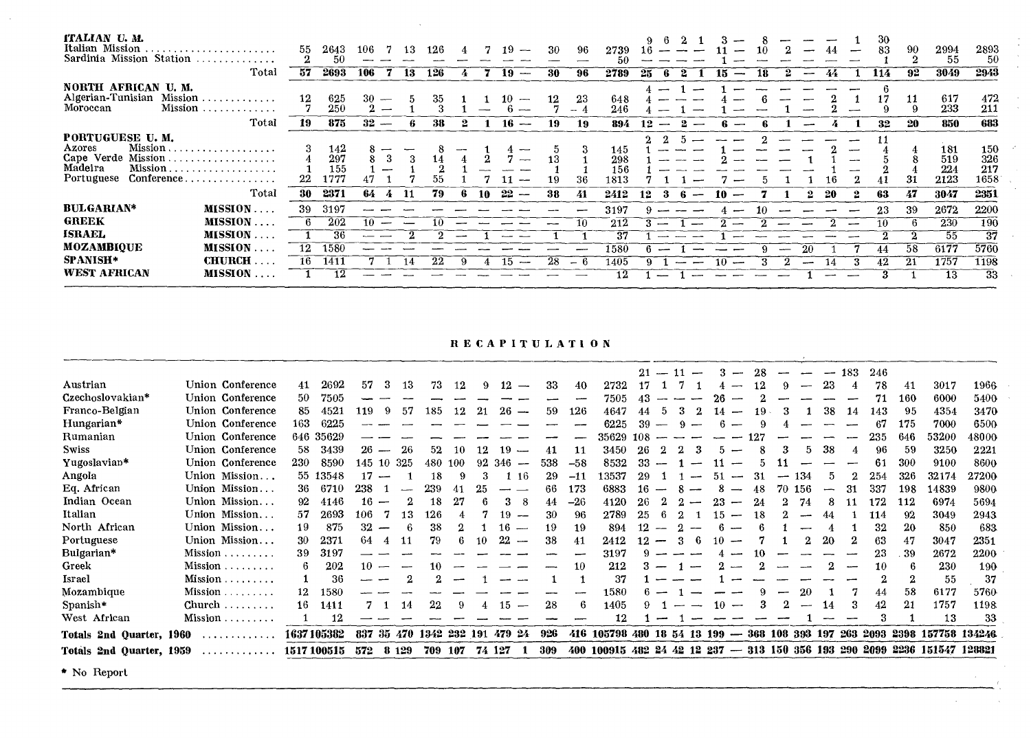| ITALIAN U.M.<br>Italian Mission<br>Sardinia Mission Station              | Total                                                                                                                                                         | 55<br>57 | 2643<br>50<br>2693                | -106<br>106 | 13<br>-13 | 126<br>126 |    |    | 19<br>---<br>19<br>$\overline{\phantom{a}}$ | -30<br>-30     | -96<br>96  | 2739<br>51)<br>2789               | 25                                     |    | 18 |     |    |           | -30<br>83<br>114 | -90<br>92 | 2994<br>55<br>3049                | 2893<br>50<br>2943                |  |
|--------------------------------------------------------------------------|---------------------------------------------------------------------------------------------------------------------------------------------------------------|----------|-----------------------------------|-------------|-----------|------------|----|----|---------------------------------------------|----------------|------------|-----------------------------------|----------------------------------------|----|----|-----|----|-----------|------------------|-----------|-----------------------------------|-----------------------------------|--|
| NORTH AFRICAN U.M.<br>Algerian-Tunisian Mission<br>Moroccan              | $Mission \ldots \ldots \ldots$                                                                                                                                | 12       | 625<br>250                        | 30          |           |            |    |    |                                             |                | 23<br>$-4$ | 648<br>246                        |                                        |    |    |     |    |           |                  | 11        | 617<br>233                        | 472<br>211                        |  |
|                                                                          | Total                                                                                                                                                         | 19       | 875                               | 32          |           | 38         |    |    | 16<br>---                                   | 19             | 19         | 894                               | 12                                     |    |    |     |    |           | 32               | 20        | 850                               | 683                               |  |
| PORTUGUESE U.M.<br>Azores<br>Cape Verde Mission<br>Madeira<br>Portuguese | $Mission, \ldots, \ldots, \ldots, \ldots, \ldots$<br>$Mission \dots \dots \dots \dots \dots \dots \dots$<br>$Conference \ldots \ldots \ldots \ldots$<br>Total | 22<br>30 | 142<br>297<br>155<br>1777<br>2371 | 64.         | -11       | 79         | Б. | 10 | $\overline{\phantom{a}}$<br>-22             | 13<br>19<br>38 | 36<br>41   | 145<br>298<br>156<br>1813<br>2412 | 12<br>$\overline{\phantom{0}}$<br>-35. | 10 |    |     |    | -6<br>-20 | 63               | 31<br>47  | 181<br>519<br>224<br>2123<br>3047 | 150<br>326<br>217<br>1658<br>2351 |  |
| <b>BULGARIAN*</b>                                                        | MISSION                                                                                                                                                       | 39       | 3197                              |             |           |            |    |    |                                             |                |            | 3197                              |                                        |    | 10 |     |    |           | -23              | 39        | 2672                              | 2200                              |  |
| <b>GREEK</b>                                                             | $MISSION \ldots$                                                                                                                                              |          | 202                               | -10-        |           |            |    |    |                                             |                | -10        | 212                               |                                        |    |    |     |    |           | 10               |           | 230                               | 190                               |  |
| <b>ISRAEL</b>                                                            | $MISSION$                                                                                                                                                     |          | 36                                |             |           |            |    |    |                                             |                |            | 37                                |                                        |    |    |     |    |           |                  |           | 55                                | -37                               |  |
| <b>MOZAMBIOUE</b>                                                        | <b>MISSION</b><br>$\sim$ $\sim$ $\sim$                                                                                                                        | 12       | 1580                              |             |           |            |    |    |                                             |                |            | 1580                              |                                        |    |    | $-$ | 20 |           |                  | 58        | 6177                              | 5760                              |  |
| <b>SPANISH*</b>                                                          | <b>CHURCH</b>                                                                                                                                                 | 16       | 1411                              |             | 14        | 22         | 9  |    | 15.<br>$\overline{\phantom{a}}$             | 28             | — 6        | 1405                              |                                        | 10 |    |     |    |           | 42               | -21       | 1757                              | 1198                              |  |
| <b>WEST AFRICAN</b>                                                      | <b>MISSION</b>                                                                                                                                                |          | 12                                |             |           |            |    |    |                                             |                |            | 12                                |                                        |    |    |     |    |           |                  |           | -13                               | 33                                |  |

 $\frac{1}{\sqrt{2}}$  $\bar{\mathcal{A}}$  $\mathcal{L}$ 

 $\bar{\lambda}$ 

 $\mathcal{P}$ 

**RECAPITULATION** 

|                          |                         |             |            |                                |         |              |     |    |                                 |     |       |                                                        |      | $21 - 11$ | $\overline{\phantom{m}}$ |     | --                       | 28 |   |        | --  | 183 | 246 |     |                                                                           |       |
|--------------------------|-------------------------|-------------|------------|--------------------------------|---------|--------------|-----|----|---------------------------------|-----|-------|--------------------------------------------------------|------|-----------|--------------------------|-----|--------------------------|----|---|--------|-----|-----|-----|-----|---------------------------------------------------------------------------|-------|
| Austrian                 | Union Conference        | 41          | 2692       | 57<br>3                        | -13     | 73           | 12  | 9. | 12                              | -33 | 40    | 2732                                                   | 17   |           |                          |     |                          | 12 |   |        | 23  |     | 78  | 41  | 3017                                                                      | 1966  |
| Czechoslovakian*         | Union Conference        | 50          | 7505       |                                |         |              |     |    |                                 |     |       | 7505                                                   |      |           |                          |     |                          |    |   |        |     |     |     | 160 | 6000                                                                      | 5400  |
| Franco-Belgian           | Union Conference        | 85          | 4521       | 119<br>9                       | -57     | 185          | 12  | 21 | 26<br>$\overline{\phantom{a}}$  | 59  | 126   | 4647                                                   | 44   |           |                          |     | ىسى                      | 19 |   |        | 38  | 14  | 143 | 95  | 4354                                                                      | 3470  |
| Hungarian*               | Union Conference        | 163         | 6225       |                                |         |              |     |    |                                 |     |       | 6225                                                   | 39   |           |                          |     |                          |    |   |        |     |     | 67  | 175 | 7000                                                                      | 6500  |
| Rumanian                 | Union Conference        |             | 646 35629  |                                |         |              |     |    |                                 |     |       | 35629                                                  | -108 |           |                          |     |                          |    |   |        |     |     | 235 | 646 | 53200                                                                     | 48000 |
| <b>Swiss</b>             | Union Conference        | 58          | 3439       | 26<br>$\overline{\phantom{a}}$ | 26      | 52           | 10  |    | 19.<br>$\overline{\phantom{a}}$ | 41  | 11    | 3450                                                   | 26   |           |                          |     | —                        |    |   | 5.     | -38 |     | 96  | 59  | 3250                                                                      | 2221  |
| Yugoslavian*             | Union Conference        | 230         | 8590       | 145 10                         | 325     | 480          | 100 | 92 | 346                             | 538 | $-58$ | 8532                                                   | 33   |           |                          |     |                          |    |   |        |     |     | 61  | 300 | 9100                                                                      | 8600  |
| Angola                   | Union Mission           |             | 55 13548   | 17                             |         | 18           |     |    | -16                             | 29  | $-11$ | 13537                                                  | 29   |           |                          | .51 |                          | 31 |   | 134    |     |     | 254 | 326 | 32174                                                                     | 27200 |
| Eq. African              | Union Mission           | 36          | 6710       | 238                            |         | 239          | 41  | 25 |                                 | 66  | 173   | 6883                                                   | 16   |           |                          |     |                          | 48 |   | 70 156 | --- | 31  | 337 | 198 | 14839                                                                     | 9800  |
| Indian Ocean             | Union Mission           | 92          | 4146       | 16.                            |         | 18           |     |    | -8                              | 44  | $-26$ | 4120                                                   | 26   |           |                          | 23  | $\overline{\phantom{a}}$ | 24 |   | 74     |     |     | 172 | 112 | 6974                                                                      | 5694  |
| Italian                  | Union Mission           | 57          | 2693       | 106.                           | 13      | 126          |     |    |                                 | 30  | 96    | 2789                                                   | 25   |           |                          |     | مسد                      | 18 |   |        |     |     | 114 | 92  | 3049                                                                      | 2943  |
| North African            | Union Mission           | 19          | 875        | 32                             | -6      | 38           |     |    | 16<br>$\overline{\phantom{a}}$  | 19  | 19    | 894                                                    |      |           |                          |     |                          |    |   |        |     |     | 32  | 20  | 850                                                                       | 683   |
| Portuguese               | Union Mission           | 30          | 2371       | 64<br>4                        | 11      | 79           |     | 10 | 22                              | 38  | 41    | 2412                                                   |      |           | 6                        | 10  |                          |    |   |        | 20  |     | 63  | 47  | 3047                                                                      | 2351  |
| Bulgarian*               | $Mission \ldots \ldots$ | 39          | 3197       |                                |         |              |     |    |                                 |     |       | 3197                                                   |      |           |                          |     |                          | 10 |   |        |     |     | 23  | 39  | 2672                                                                      | 2200  |
| Greek                    | $Mission \ldots \ldots$ | 6           | 202        | 10                             |         | 10           |     |    |                                 |     | 10    | 212                                                    |      |           |                          |     |                          |    |   |        |     |     | 10  | 6   | 230                                                                       | 190   |
| Israel                   | $Mission \ldots \ldots$ |             | 36         |                                |         |              |     |    |                                 |     |       | -37                                                    |      |           |                          |     |                          |    |   |        |     |     | 2   | 2   | 55                                                                        | 37    |
| Mozambique               | Mission.<br>.           | 12          | 1580       |                                |         |              |     |    |                                 |     |       | 1580                                                   |      |           |                          |     |                          |    |   | -20    |     |     | 44  | 58  | 6177                                                                      | 5760  |
| Spanish*                 | $Church \ldots \ldots$  | 16          | 1411       |                                | 14      | 22           |     |    | 15<br>$\overline{\phantom{a}}$  | 28  | 6     | 1405                                                   |      |           |                          | -10 |                          |    | 2 | -      | 14  |     | 42  | 21  | 1757                                                                      | 1198  |
| West African             | $Mission \dots \dots$   |             | 12         |                                |         |              |     |    |                                 |     |       | 12                                                     |      |           |                          |     |                          |    |   |        |     |     |     |     | 13                                                                        | 33    |
| Totals 2nd Quarter, 1960 |                         |             | 1637105382 | 837                            | 35 470  | 1342 232 191 |     |    | 479 24                          | 926 |       | 416 105798 480 18 54 13 199 - 368 108 393 197 263 2093 |      |           |                          |     |                          |    |   |        |     |     |     |     | 2398 157758 134246                                                        |       |
| Totals 2nd Quarter, 1959 | .                       | 1517 100515 |            | 572                            | 8 1 2 9 | 709          | 107 |    | 74 127                          | 309 |       |                                                        |      |           |                          |     |                          |    |   |        |     |     |     |     | 400 100915 482 24 42 12 237 - 313 150 356 193 290 2099 2236 151547 128821 |       |

\* No Report